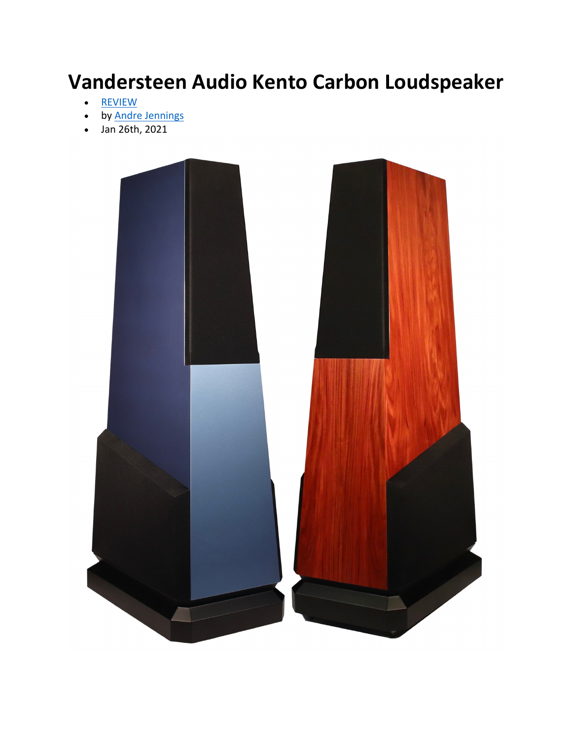## **Vandersteen Audio Kento Carbon Loudspeaker**

- REVIEW
- by Andre Jennings
- Jan 26th, 2021

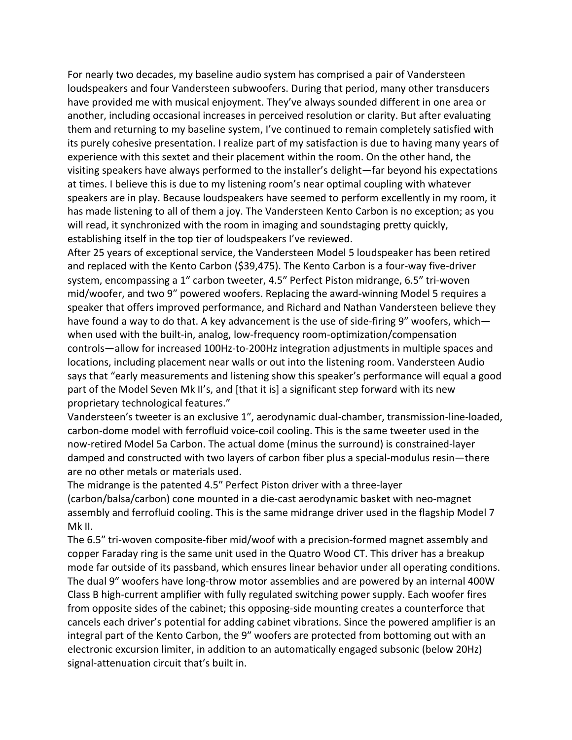For nearly two decades, my baseline audio system has comprised a pair of Vandersteen loudspeakers and four Vandersteen subwoofers. During that period, many other transducers have provided me with musical enjoyment. They've always sounded different in one area or another, including occasional increases in perceived resolution or clarity. But after evaluating them and returning to my baseline system, I've continued to remain completely satisfied with its purely cohesive presentation. I realize part of my satisfaction is due to having many years of experience with this sextet and their placement within the room. On the other hand, the visiting speakers have always performed to the installer's delight—far beyond his expectations at times. I believe this is due to my listening room's near optimal coupling with whatever speakers are in play. Because loudspeakers have seemed to perform excellently in my room, it has made listening to all of them a joy. The Vandersteen Kento Carbon is no exception; as you will read, it synchronized with the room in imaging and soundstaging pretty quickly, establishing itself in the top tier of loudspeakers I've reviewed.

After 25 years of exceptional service, the Vandersteen Model 5 loudspeaker has been retired and replaced with the Kento Carbon (\$39,475). The Kento Carbon is a four-way five-driver system, encompassing a 1" carbon tweeter, 4.5" Perfect Piston midrange, 6.5" tri-woven mid/woofer, and two 9" powered woofers. Replacing the award-winning Model 5 requires a speaker that offers improved performance, and Richard and Nathan Vandersteen believe they have found a way to do that. A key advancement is the use of side-firing 9" woofers, which when used with the built-in, analog, low-frequency room-optimization/compensation controls—allow for increased 100Hz-to-200Hz integration adjustments in multiple spaces and locations, including placement near walls or out into the listening room. Vandersteen Audio says that "early measurements and listening show this speaker's performance will equal a good part of the Model Seven Mk II's, and [that it is] a significant step forward with its new proprietary technological features."

Vandersteen's tweeter is an exclusive 1", aerodynamic dual-chamber, transmission-line-loaded, carbon-dome model with ferrofluid voice-coil cooling. This is the same tweeter used in the now-retired Model 5a Carbon. The actual dome (minus the surround) is constrained-layer damped and constructed with two layers of carbon fiber plus a special-modulus resin—there are no other metals or materials used.

The midrange is the patented 4.5" Perfect Piston driver with a three-layer (carbon/balsa/carbon) cone mounted in a die-cast aerodynamic basket with neo-magnet assembly and ferrofluid cooling. This is the same midrange driver used in the flagship Model 7 Mk II.

The 6.5<sup>"</sup> tri-woven composite-fiber mid/woof with a precision-formed magnet assembly and copper Faraday ring is the same unit used in the Quatro Wood CT. This driver has a breakup mode far outside of its passband, which ensures linear behavior under all operating conditions. The dual 9" woofers have long-throw motor assemblies and are powered by an internal 400W Class B high-current amplifier with fully regulated switching power supply. Each woofer fires from opposite sides of the cabinet; this opposing-side mounting creates a counterforce that cancels each driver's potential for adding cabinet vibrations. Since the powered amplifier is an integral part of the Kento Carbon, the 9" woofers are protected from bottoming out with an electronic excursion limiter, in addition to an automatically engaged subsonic (below 20Hz) signal-attenuation circuit that's built in.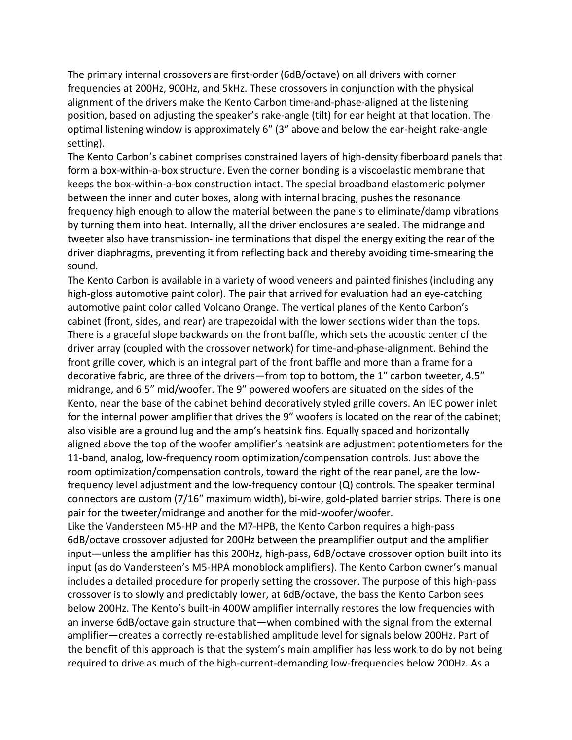The primary internal crossovers are first-order (6dB/octave) on all drivers with corner frequencies at 200Hz, 900Hz, and 5kHz. These crossovers in conjunction with the physical alignment of the drivers make the Kento Carbon time-and-phase-aligned at the listening position, based on adjusting the speaker's rake-angle (tilt) for ear height at that location. The optimal listening window is approximately 6" (3" above and below the ear-height rake-angle setting).

The Kento Carbon's cabinet comprises constrained layers of high-density fiberboard panels that form a box-within-a-box structure. Even the corner bonding is a viscoelastic membrane that keeps the box-within-a-box construction intact. The special broadband elastomeric polymer between the inner and outer boxes, along with internal bracing, pushes the resonance frequency high enough to allow the material between the panels to eliminate/damp vibrations by turning them into heat. Internally, all the driver enclosures are sealed. The midrange and tweeter also have transmission-line terminations that dispel the energy exiting the rear of the driver diaphragms, preventing it from reflecting back and thereby avoiding time-smearing the sound.

The Kento Carbon is available in a variety of wood veneers and painted finishes (including any high-gloss automotive paint color). The pair that arrived for evaluation had an eye-catching automotive paint color called Volcano Orange. The vertical planes of the Kento Carbon's cabinet (front, sides, and rear) are trapezoidal with the lower sections wider than the tops. There is a graceful slope backwards on the front baffle, which sets the acoustic center of the driver array (coupled with the crossover network) for time-and-phase-alignment. Behind the front grille cover, which is an integral part of the front baffle and more than a frame for a decorative fabric, are three of the drivers—from top to bottom, the 1" carbon tweeter, 4.5" midrange, and 6.5" mid/woofer. The 9" powered woofers are situated on the sides of the Kento, near the base of the cabinet behind decoratively styled grille covers. An IEC power inlet for the internal power amplifier that drives the 9" woofers is located on the rear of the cabinet; also visible are a ground lug and the amp's heatsink fins. Equally spaced and horizontally aligned above the top of the woofer amplifier's heatsink are adjustment potentiometers for the 11-band, analog, low-frequency room optimization/compensation controls. Just above the room optimization/compensation controls, toward the right of the rear panel, are the lowfrequency level adjustment and the low-frequency contour (Q) controls. The speaker terminal connectors are custom (7/16" maximum width), bi-wire, gold-plated barrier strips. There is one pair for the tweeter/midrange and another for the mid-woofer/woofer.

Like the Vandersteen M5-HP and the M7-HPB, the Kento Carbon requires a high-pass 6dB/octave crossover adjusted for 200Hz between the preamplifier output and the amplifier input—unless the amplifier has this 200Hz, high-pass, 6dB/octave crossover option built into its input (as do Vandersteen's M5-HPA monoblock amplifiers). The Kento Carbon owner's manual includes a detailed procedure for properly setting the crossover. The purpose of this high-pass crossover is to slowly and predictably lower, at 6dB/octave, the bass the Kento Carbon sees below 200Hz. The Kento's built-in 400W amplifier internally restores the low frequencies with an inverse 6dB/octave gain structure that—when combined with the signal from the external amplifier—creates a correctly re-established amplitude level for signals below 200Hz. Part of the benefit of this approach is that the system's main amplifier has less work to do by not being required to drive as much of the high-current-demanding low-frequencies below 200Hz. As a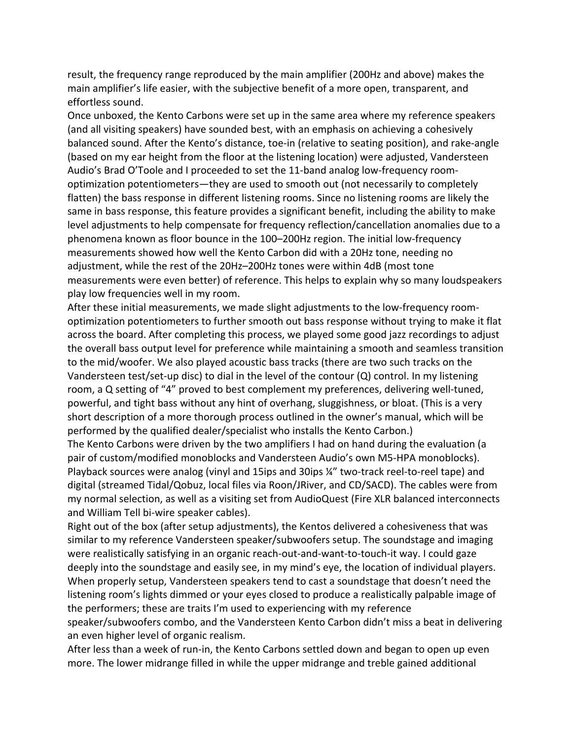result, the frequency range reproduced by the main amplifier (200Hz and above) makes the main amplifier's life easier, with the subjective benefit of a more open, transparent, and effortless sound.

Once unboxed, the Kento Carbons were set up in the same area where my reference speakers (and all visiting speakers) have sounded best, with an emphasis on achieving a cohesively balanced sound. After the Kento's distance, toe-in (relative to seating position), and rake-angle (based on my ear height from the floor at the listening location) were adjusted, Vandersteen Audio's Brad O'Toole and I proceeded to set the 11-band analog low-frequency roomoptimization potentiometers—they are used to smooth out (not necessarily to completely flatten) the bass response in different listening rooms. Since no listening rooms are likely the same in bass response, this feature provides a significant benefit, including the ability to make level adjustments to help compensate for frequency reflection/cancellation anomalies due to a phenomena known as floor bounce in the 100–200Hz region. The initial low-frequency measurements showed how well the Kento Carbon did with a 20Hz tone, needing no adjustment, while the rest of the 20Hz–200Hz tones were within 4dB (most tone measurements were even better) of reference. This helps to explain why so many loudspeakers play low frequencies well in my room.

After these initial measurements, we made slight adjustments to the low-frequency roomoptimization potentiometers to further smooth out bass response without trying to make it flat across the board. After completing this process, we played some good jazz recordings to adjust the overall bass output level for preference while maintaining a smooth and seamless transition to the mid/woofer. We also played acoustic bass tracks (there are two such tracks on the Vandersteen test/set-up disc) to dial in the level of the contour (Q) control. In my listening room, a Q setting of "4" proved to best complement my preferences, delivering well-tuned, powerful, and tight bass without any hint of overhang, sluggishness, or bloat. (This is a very short description of a more thorough process outlined in the owner's manual, which will be performed by the qualified dealer/specialist who installs the Kento Carbon.)

The Kento Carbons were driven by the two amplifiers I had on hand during the evaluation (a pair of custom/modified monoblocks and Vandersteen Audio's own M5-HPA monoblocks). Playback sources were analog (vinyl and 15ips and 30ips ¼" two-track reel-to-reel tape) and digital (streamed Tidal/Qobuz, local files via Roon/JRiver, and CD/SACD). The cables were from my normal selection, as well as a visiting set from AudioQuest (Fire XLR balanced interconnects and William Tell bi-wire speaker cables).

Right out of the box (after setup adjustments), the Kentos delivered a cohesiveness that was similar to my reference Vandersteen speaker/subwoofers setup. The soundstage and imaging were realistically satisfying in an organic reach-out-and-want-to-touch-it way. I could gaze deeply into the soundstage and easily see, in my mind's eye, the location of individual players. When properly setup, Vandersteen speakers tend to cast a soundstage that doesn't need the listening room's lights dimmed or your eyes closed to produce a realistically palpable image of the performers; these are traits I'm used to experiencing with my reference

speaker/subwoofers combo, and the Vandersteen Kento Carbon didn't miss a beat in delivering an even higher level of organic realism.

After less than a week of run-in, the Kento Carbons settled down and began to open up even more. The lower midrange filled in while the upper midrange and treble gained additional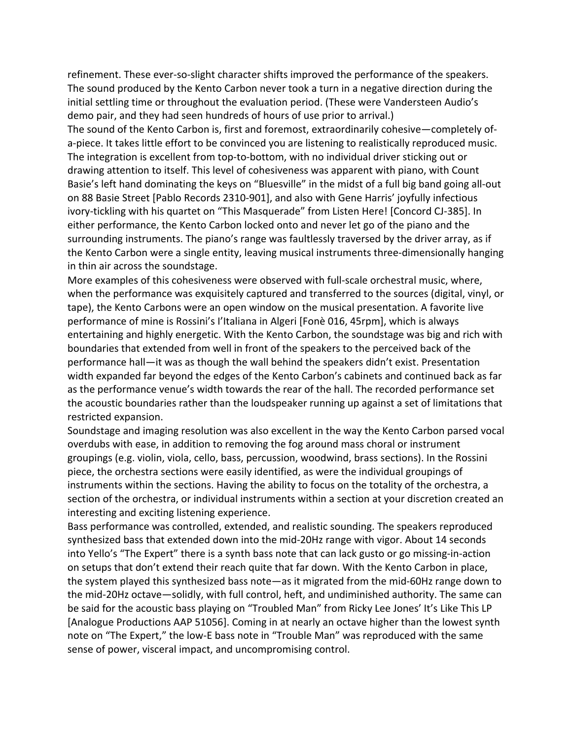refinement. These ever-so-slight character shifts improved the performance of the speakers. The sound produced by the Kento Carbon never took a turn in a negative direction during the initial settling time or throughout the evaluation period. (These were Vandersteen Audio's demo pair, and they had seen hundreds of hours of use prior to arrival.)

The sound of the Kento Carbon is, first and foremost, extraordinarily cohesive—completely ofa-piece. It takes little effort to be convinced you are listening to realistically reproduced music. The integration is excellent from top-to-bottom, with no individual driver sticking out or drawing attention to itself. This level of cohesiveness was apparent with piano, with Count Basie's left hand dominating the keys on "Bluesville" in the midst of a full big band going all-out on 88 Basie Street [Pablo Records 2310-901], and also with Gene Harris' joyfully infectious ivory-tickling with his quartet on "This Masquerade" from Listen Here! [Concord CJ-385]. In either performance, the Kento Carbon locked onto and never let go of the piano and the surrounding instruments. The piano's range was faultlessly traversed by the driver array, as if the Kento Carbon were a single entity, leaving musical instruments three-dimensionally hanging in thin air across the soundstage.

More examples of this cohesiveness were observed with full-scale orchestral music, where, when the performance was exquisitely captured and transferred to the sources (digital, vinyl, or tape), the Kento Carbons were an open window on the musical presentation. A favorite live performance of mine is Rossini's I'Italiana in Algeri [Fonè 016, 45rpm], which is always entertaining and highly energetic. With the Kento Carbon, the soundstage was big and rich with boundaries that extended from well in front of the speakers to the perceived back of the performance hall—it was as though the wall behind the speakers didn't exist. Presentation width expanded far beyond the edges of the Kento Carbon's cabinets and continued back as far as the performance venue's width towards the rear of the hall. The recorded performance set the acoustic boundaries rather than the loudspeaker running up against a set of limitations that restricted expansion.

Soundstage and imaging resolution was also excellent in the way the Kento Carbon parsed vocal overdubs with ease, in addition to removing the fog around mass choral or instrument groupings (e.g. violin, viola, cello, bass, percussion, woodwind, brass sections). In the Rossini piece, the orchestra sections were easily identified, as were the individual groupings of instruments within the sections. Having the ability to focus on the totality of the orchestra, a section of the orchestra, or individual instruments within a section at your discretion created an interesting and exciting listening experience.

Bass performance was controlled, extended, and realistic sounding. The speakers reproduced synthesized bass that extended down into the mid-20Hz range with vigor. About 14 seconds into Yello's "The Expert" there is a synth bass note that can lack gusto or go missing-in-action on setups that don't extend their reach quite that far down. With the Kento Carbon in place, the system played this synthesized bass note—as it migrated from the mid-60Hz range down to the mid-20Hz octave—solidly, with full control, heft, and undiminished authority. The same can be said for the acoustic bass playing on "Troubled Man" from Ricky Lee Jones' It's Like This LP [Analogue Productions AAP 51056]. Coming in at nearly an octave higher than the lowest synth note on "The Expert," the low-E bass note in "Trouble Man" was reproduced with the same sense of power, visceral impact, and uncompromising control.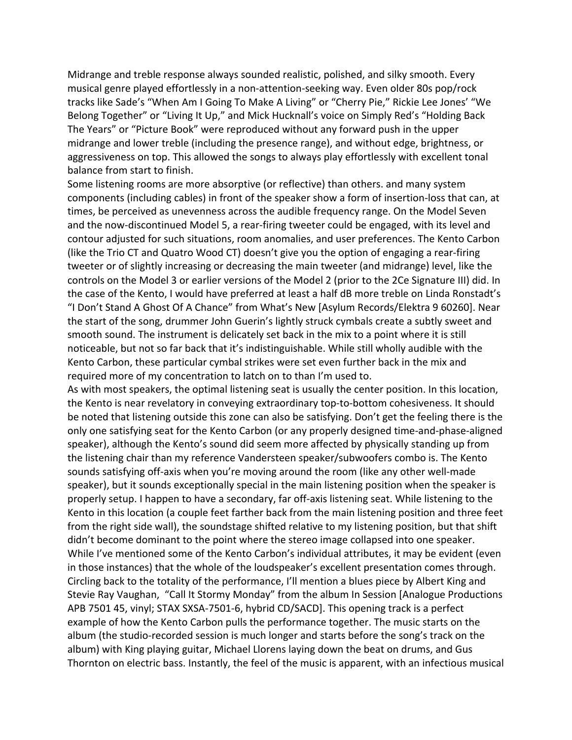Midrange and treble response always sounded realistic, polished, and silky smooth. Every musical genre played effortlessly in a non-attention-seeking way. Even older 80s pop/rock tracks like Sade's "When Am I Going To Make A Living" or "Cherry Pie," Rickie Lee Jones' "We Belong Together" or "Living It Up," and Mick Hucknall's voice on Simply Red's "Holding Back The Years" or "Picture Book" were reproduced without any forward push in the upper midrange and lower treble (including the presence range), and without edge, brightness, or aggressiveness on top. This allowed the songs to always play effortlessly with excellent tonal balance from start to finish.

Some listening rooms are more absorptive (or reflective) than others. and many system components (including cables) in front of the speaker show a form of insertion-loss that can, at times, be perceived as unevenness across the audible frequency range. On the Model Seven and the now-discontinued Model 5, a rear-firing tweeter could be engaged, with its level and contour adjusted for such situations, room anomalies, and user preferences. The Kento Carbon (like the Trio CT and Quatro Wood CT) doesn't give you the option of engaging a rear-firing tweeter or of slightly increasing or decreasing the main tweeter (and midrange) level, like the controls on the Model 3 or earlier versions of the Model 2 (prior to the 2Ce Signature III) did. In the case of the Kento, I would have preferred at least a half dB more treble on Linda Ronstadt's "I Don't Stand A Ghost Of A Chance" from What's New [Asylum Records/Elektra 9 60260]. Near the start of the song, drummer John Guerin's lightly struck cymbals create a subtly sweet and smooth sound. The instrument is delicately set back in the mix to a point where it is still noticeable, but not so far back that it's indistinguishable. While still wholly audible with the Kento Carbon, these particular cymbal strikes were set even further back in the mix and required more of my concentration to latch on to than I'm used to.

As with most speakers, the optimal listening seat is usually the center position. In this location, the Kento is near revelatory in conveying extraordinary top-to-bottom cohesiveness. It should be noted that listening outside this zone can also be satisfying. Don't get the feeling there is the only one satisfying seat for the Kento Carbon (or any properly designed time-and-phase-aligned speaker), although the Kento's sound did seem more affected by physically standing up from the listening chair than my reference Vandersteen speaker/subwoofers combo is. The Kento sounds satisfying off-axis when you're moving around the room (like any other well-made speaker), but it sounds exceptionally special in the main listening position when the speaker is properly setup. I happen to have a secondary, far off-axis listening seat. While listening to the Kento in this location (a couple feet farther back from the main listening position and three feet from the right side wall), the soundstage shifted relative to my listening position, but that shift didn't become dominant to the point where the stereo image collapsed into one speaker. While I've mentioned some of the Kento Carbon's individual attributes, it may be evident (even in those instances) that the whole of the loudspeaker's excellent presentation comes through. Circling back to the totality of the performance, I'll mention a blues piece by Albert King and Stevie Ray Vaughan, "Call It Stormy Monday" from the album In Session [Analogue Productions APB 7501 45, vinyl; STAX SXSA-7501-6, hybrid CD/SACD]. This opening track is a perfect example of how the Kento Carbon pulls the performance together. The music starts on the album (the studio-recorded session is much longer and starts before the song's track on the album) with King playing guitar, Michael Llorens laying down the beat on drums, and Gus Thornton on electric bass. Instantly, the feel of the music is apparent, with an infectious musical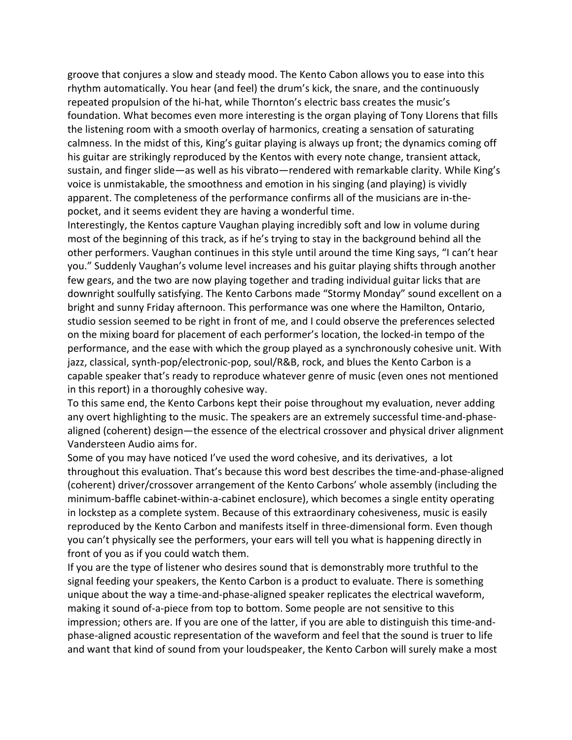groove that conjures a slow and steady mood. The Kento Cabon allows you to ease into this rhythm automatically. You hear (and feel) the drum's kick, the snare, and the continuously repeated propulsion of the hi-hat, while Thornton's electric bass creates the music's foundation. What becomes even more interesting is the organ playing of Tony Llorens that fills the listening room with a smooth overlay of harmonics, creating a sensation of saturating calmness. In the midst of this, King's guitar playing is always up front; the dynamics coming off his guitar are strikingly reproduced by the Kentos with every note change, transient attack, sustain, and finger slide—as well as his vibrato—rendered with remarkable clarity. While King's voice is unmistakable, the smoothness and emotion in his singing (and playing) is vividly apparent. The completeness of the performance confirms all of the musicians are in-thepocket, and it seems evident they are having a wonderful time.

Interestingly, the Kentos capture Vaughan playing incredibly soft and low in volume during most of the beginning of this track, as if he's trying to stay in the background behind all the other performers. Vaughan continues in this style until around the time King says, "I can't hear you." Suddenly Vaughan's volume level increases and his guitar playing shifts through another few gears, and the two are now playing together and trading individual guitar licks that are downright soulfully satisfying. The Kento Carbons made "Stormy Monday" sound excellent on a bright and sunny Friday afternoon. This performance was one where the Hamilton, Ontario, studio session seemed to be right in front of me, and I could observe the preferences selected on the mixing board for placement of each performer's location, the locked-in tempo of the performance, and the ease with which the group played as a synchronously cohesive unit. With jazz, classical, synth-pop/electronic-pop, soul/R&B, rock, and blues the Kento Carbon is a capable speaker that's ready to reproduce whatever genre of music (even ones not mentioned in this report) in a thoroughly cohesive way.

To this same end, the Kento Carbons kept their poise throughout my evaluation, never adding any overt highlighting to the music. The speakers are an extremely successful time-and-phasealigned (coherent) design—the essence of the electrical crossover and physical driver alignment Vandersteen Audio aims for.

Some of you may have noticed I've used the word cohesive, and its derivatives, a lot throughout this evaluation. That's because this word best describes the time-and-phase-aligned (coherent) driver/crossover arrangement of the Kento Carbons' whole assembly (including the minimum-baffle cabinet-within-a-cabinet enclosure), which becomes a single entity operating in lockstep as a complete system. Because of this extraordinary cohesiveness, music is easily reproduced by the Kento Carbon and manifests itself in three-dimensional form. Even though you can't physically see the performers, your ears will tell you what is happening directly in front of you as if you could watch them.

If you are the type of listener who desires sound that is demonstrably more truthful to the signal feeding your speakers, the Kento Carbon is a product to evaluate. There is something unique about the way a time-and-phase-aligned speaker replicates the electrical waveform, making it sound of-a-piece from top to bottom. Some people are not sensitive to this impression; others are. If you are one of the latter, if you are able to distinguish this time-andphase-aligned acoustic representation of the waveform and feel that the sound is truer to life and want that kind of sound from your loudspeaker, the Kento Carbon will surely make a most